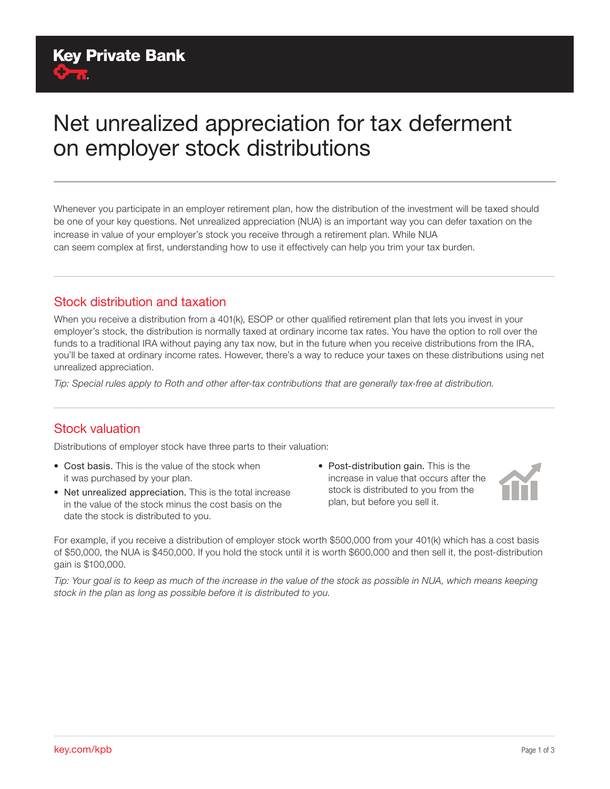# Net unrealized appreciation for tax deferment on employer stock distributions

Whenever you participate in an employer retirement plan, how the distribution of the investment will be taxed should be one of your key questions. Net unrealized appreciation (NUA) is an important way you can defer taxation on the increase in value of your employer's stock you receive through a retirement plan. While NUA can seem complex at first, understanding how to use it effectively can help you trim your tax burden.

#### Stock distribution and taxation

When you receive a distribution from a 401(k), ESOP or other qualified retirement plan that lets you invest in your employer's stock, the distribution is normally taxed at ordinary income tax rates. You have the option to roll over the funds to a traditional IRA without paying any tax now, but in the future when you receive distributions from the IRA, you'll be taxed at ordinary income rates. However, there's a way to reduce your taxes on these distributions using net unrealized appreciation.

*Tip: Special rules apply to Roth and other after-tax contributions that are generally tax-free at distribution.*

#### Stock valuation

Distributions of employer stock have three parts to their valuation:

- Cost basis. This is the value of the stock when it was purchased by your plan.
- Net unrealized appreciation. This is the total increase in the value of the stock minus the cost basis on the date the stock is distributed to you.
- Post-distribution gain. This is the increase in value that occurs after the stock is distributed to you from the plan, but before you sell it.



For example, if you receive a distribution of employer stock worth \$500,000 from your 401(k) which has a cost basis of \$50,000, the NUA is \$450,000. If you hold the stock until it is worth \$600,000 and then sell it, the post-distribution gain is \$100,000.

*Tip: Your goal is to keep as much of the increase in the value of the stock as possible in NUA, which means keeping stock in the plan as long as possible before it is distributed to you.*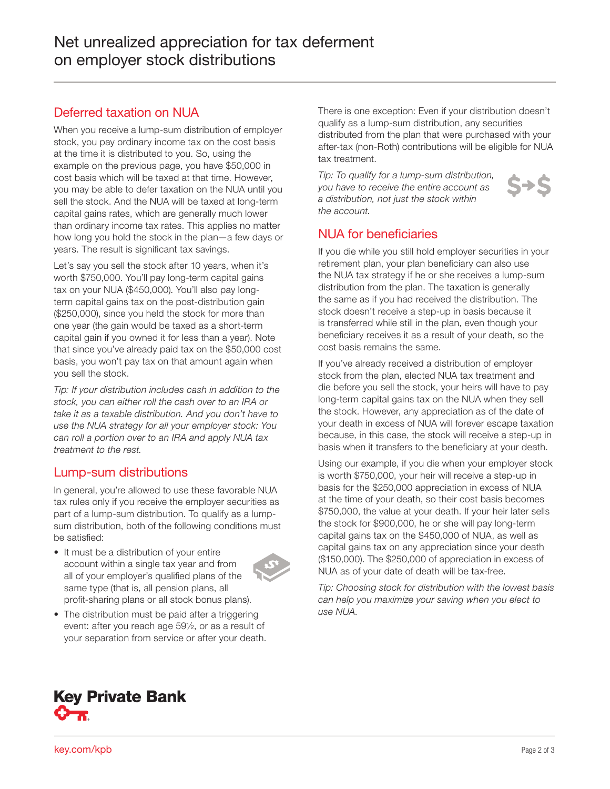## Deferred taxation on NUA

When you receive a lump-sum distribution of employer stock, you pay ordinary income tax on the cost basis at the time it is distributed to you. So, using the example on the previous page, you have \$50,000 in cost basis which will be taxed at that time. However, you may be able to defer taxation on the NUA until you sell the stock. And the NUA will be taxed at long-term capital gains rates, which are generally much lower than ordinary income tax rates. This applies no matter how long you hold the stock in the plan—a few days or years. The result is significant tax savings.

Let's say you sell the stock after 10 years, when it's worth \$750,000. You'll pay long-term capital gains tax on your NUA (\$450,000). You'll also pay longterm capital gains tax on the post-distribution gain (\$250,000), since you held the stock for more than one year (the gain would be taxed as a short-term capital gain if you owned it for less than a year). Note that since you've already paid tax on the \$50,000 cost basis, you won't pay tax on that amount again when you sell the stock.

*Tip: If your distribution includes cash in addition to the stock, you can either roll the cash over to an IRA or take it as a taxable distribution. And you don't have to use the NUA strategy for all your employer stock: You can roll a portion over to an IRA and apply NUA tax treatment to the rest.*

#### Lump-sum distributions

In general, you're allowed to use these favorable NUA tax rules only if you receive the employer securities as part of a lump-sum distribution. To qualify as a lumpsum distribution, both of the following conditions must be satisfied:

• It must be a distribution of your entire account within a single tax year and from all of your employer's qualified plans of the same type (that is, all pension plans, all profit-sharing plans or all stock bonus plans).



• The distribution must be paid after a triggering event: after you reach age 59½, or as a result of your separation from service or after your death. There is one exception: Even if your distribution doesn't qualify as a lump-sum distribution, any securities distributed from the plan that were purchased with your after-tax (non-Roth) contributions will be eligible for NUA tax treatment.

 $S \rightarrow S$ 

*Tip: To qualify for a lump-sum distribution, you have to receive the entire account as a distribution, not just the stock within the account.*



If you die while you still hold employer securities in your retirement plan, your plan beneficiary can also use the NUA tax strategy if he or she receives a lump-sum distribution from the plan. The taxation is generally the same as if you had received the distribution. The stock doesn't receive a step-up in basis because it is transferred while still in the plan, even though your beneficiary receives it as a result of your death, so the cost basis remains the same.

If you've already received a distribution of employer stock from the plan, elected NUA tax treatment and die before you sell the stock, your heirs will have to pay long-term capital gains tax on the NUA when they sell the stock. However, any appreciation as of the date of your death in excess of NUA will forever escape taxation because, in this case, the stock will receive a step-up in basis when it transfers to the beneficiary at your death.

Using our example, if you die when your employer stock is worth \$750,000, your heir will receive a step-up in basis for the \$250,000 appreciation in excess of NUA at the time of your death, so their cost basis becomes \$750,000, the value at your death. If your heir later sells the stock for \$900,000, he or she will pay long-term capital gains tax on the \$450,000 of NUA, as well as capital gains tax on any appreciation since your death (\$150,000). The \$250,000 of appreciation in excess of NUA as of your date of death will be tax-free.

*Tip: Choosing stock for distribution with the lowest basis can help you maximize your saving when you elect to use NUA.*